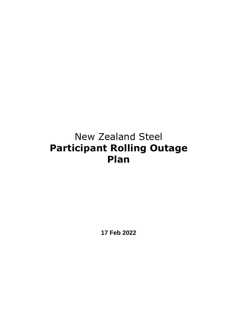# New Zealand Steel **Participant Rolling Outage Plan**

**17 Feb 2022**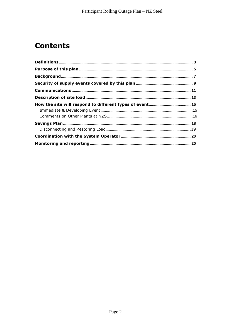## **Contents**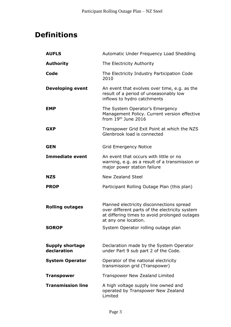## **Definitions**

| <b>AUFLS</b>                          | Automatic Under Frequency Load Shedding                                                                                                                              |
|---------------------------------------|----------------------------------------------------------------------------------------------------------------------------------------------------------------------|
| <b>Authority</b>                      | The Electricity Authority                                                                                                                                            |
| Code                                  | The Electricity Industry Participation Code<br>2010                                                                                                                  |
| <b>Developing event</b>               | An event that evolves over time, e.g. as the<br>result of a period of unseasonably low<br>inflows to hydro catchments                                                |
| <b>EMP</b>                            | The System Operator's Emergency<br>Management Policy. Current version effective<br>from $19th$ June 2016                                                             |
| <b>GXP</b>                            | Transpower Grid Exit Point at which the NZS<br>Glenbrook load is connected                                                                                           |
| <b>GEN</b>                            | Grid Emergency Notice                                                                                                                                                |
| <b>Immediate event</b>                | An event that occurs with little or no<br>warning, e.g. as a result of a transmission or<br>major power station failure                                              |
| <b>NZS</b>                            | <b>New Zealand Steel</b>                                                                                                                                             |
| <b>PROP</b>                           | Participant Rolling Outage Plan (this plan)                                                                                                                          |
|                                       |                                                                                                                                                                      |
| <b>Rolling outages</b>                | Planned electricity disconnections spread<br>over different parts of the electricity system<br>at differing times to avoid prolonged outages<br>at any one location. |
| <b>SOROP</b>                          | System Operator rolling outage plan                                                                                                                                  |
|                                       |                                                                                                                                                                      |
| <b>Supply shortage</b><br>declaration | Declaration made by the System Operator<br>under Part 9 sub part 2 of the Code.                                                                                      |
| <b>System Operator</b>                | Operator of the national electricity<br>transmission grid (Transpower)                                                                                               |
| <b>Transpower</b>                     | Transpower New Zealand Limited                                                                                                                                       |
| <b>Transmission line</b>              | A high voltage supply line owned and<br>operated by Transpower New Zealand<br>Limited                                                                                |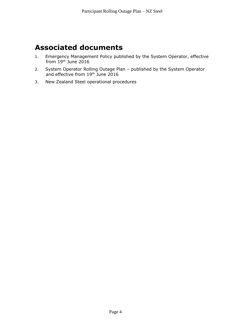#### **Associated documents**

- 1. Emergency Management Policy published by the System Operator, effective from 19th June 2016
- 2. System Operator Rolling Outage Plan published by the System Operator and effective from 19th June 2016
- 3. New Zealand Steel operational procedures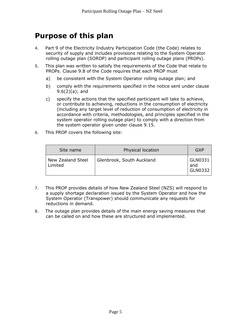### **Purpose of this plan**

- 4. Part 9 of the Electricity Industry Participation Code (the Code) relates to security of supply and includes provisions relating to the System Operator rolling outage plan (SOROP) and participant rolling outage plans (PROPs).
- 5. This plan was written to satisfy the requirements of the Code that relate to PROPs. Clause 9.8 of the Code requires that each PROP must
	- a) be consistent with the System Operator rolling outage plan; and
	- b) comply with the requirements specified in the notice sent under clause  $9.6(2)(a)$ ; and
	- c) specify the actions that the specified participant will take to achieve, or contribute to achieving, reductions in the consumption of electricity (including any target level of reduction of consumption of electricity in accordance with criteria, methodologies, and principles specified in the system operator rolling outage plan) to comply with a direction from the system operator given under clause 9.15.
- 6. This PROP covers the following site:

| Site name                    | Physical location         | GXP                       |
|------------------------------|---------------------------|---------------------------|
| New Zealand Steel<br>Limited | Glenbrook, South Auckland | GLN0331<br>and<br>GLN0332 |

- 7. This PROP provides details of how New Zealand Steel (NZS) will respond to a supply shortage declaration issued by the System Operator and how the System Operator (Transpower) should communicate any requests for reductions in demand.
- 8. The outage plan provides details of the main energy saving measures that can be called on and how these are structured and implemented.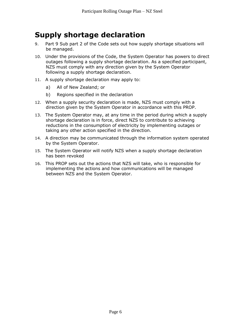#### **Supply shortage declaration**

- 9. Part 9 Sub part 2 of the Code sets out how supply shortage situations will be managed.
- 10. Under the provisions of the Code, the System Operator has powers to direct outages following a supply shortage declaration. As a specified participant, NZS must comply with any direction given by the System Operator following a supply shortage declaration.
- 11. A supply shortage declaration may apply to:
	- a) All of New Zealand; or
	- b) Regions specified in the declaration
- 12. When a supply security declaration is made, NZS must comply with a direction given by the System Operator in accordance with this PROP.
- 13. The System Operator may, at any time in the period during which a supply shortage declaration is in force, direct NZS to contribute to achieving reductions in the consumption of electricity by implementing outages or taking any other action specified in the direction.
- 14. A direction may be communicated through the information system operated by the System Operator.
- 15. The System Operator will notify NZS when a supply shortage declaration has been revoked
- 16. This PROP sets out the actions that NZS will take, who is responsible for implementing the actions and how communications will be managed between NZS and the System Operator.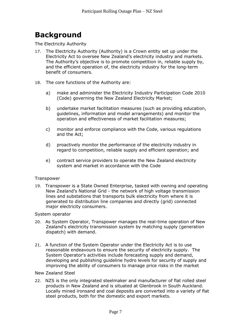## **Background**

The Electricity Authority

- 17. The Electricity Authority (Authority) is a Crown entity set up under the Electricity Act to oversee New Zealand's electricity industry and markets. The Authority's objective is to promote competition in, reliable supply by, and the efficient operation of, the electricity industry for the long-term benefit of consumers.
- 18. The core functions of the Authority are:
	- a) make and administer the Electricity Industry Participation Code 2010 (Code) governing the New Zealand Electricity Market;
	- b) undertake market facilitation measures (such as providing education, guidelines, information and model arrangements) and monitor the operation and effectiveness of market facilitation measures;
	- c) monitor and enforce compliance with the Code, various regulations and the Act;
	- d) proactively monitor the performance of the electricity industry in regard to competition, reliable supply and efficient operation; and
	- e) contract service providers to operate the New Zealand electricity system and market in accordance with the Code

#### **Transpower**

19. Transpower is a State Owned Enterprise, tasked with owning and operating New Zealand's National Grid - the network of high voltage transmission lines and substations that transports bulk electricity from where it is generated to distribution line companies and directly (grid) connected major electricity consumers.

#### System operator

- 20. As System Operator, Transpower manages the real-time operation of New Zealand's electricity transmission system by matching supply (generation dispatch) with demand.
- 21. A function of the System Operator under the Electricity Act is to use reasonable endeavours to ensure the security of electricity supply. The System Operator's activities include forecasting supply and demand, developing and publishing guideline hydro levels for security of supply and improving the ability of consumers to manage price risks in the market
- New Zealand Steel
- 22. NZS is the only integrated steelmaker and manufacturer of flat rolled steel products in New Zealand and is situated at Glenbrook in South Auckland. Locally mined ironsand and coal deposits are converted into a variety of flat steel products, both for the domestic and export markets.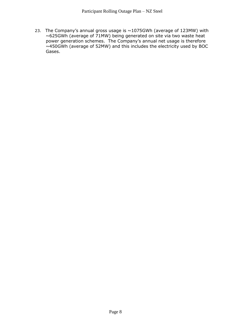23. The Company's annual gross usage is  $\sim$ 1075GWh (average of 123MW) with ~625GWh (average of 71MW) being generated on site via two waste heat power generation schemes. The Company's annual net usage is therefore  $\sim$ 450GWh (average of 52MW) and this includes the electricity used by BOC Gases.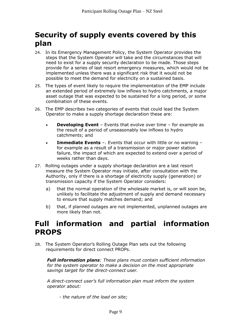### **Security of supply events covered by this plan**

- 24. In its Emergency Management Policy, the System Operator provides the steps that the System Operator will take and the circumstances that will need to exist for a supply security declaration to be made. Those steps provide for a series of last resort emergency measures, which would not be implemented unless there was a significant risk that it would not be possible to meet the demand for electricity on a sustained basis.
- 25. The types of event likely to require the implementation of the EMP include an extended period of extremely low inflows to hydro catchments, a major asset outage that was expected to be sustained for a long period, or some combination of these events.
- 26. The EMP describes two categories of events that could lead the System Operator to make a supply shortage declaration these are:
	- **Developing Event** Events that evolve over time for example as the result of a period of unseasonably low inflows to hydro catchments; and
	- **Immediate Events** –. Events that occur with little or no warning for example as a result of a transmission or major power station failure, the impact of which are expected to extend over a period of weeks rather than days.
- 27. Rolling outages under a supply shortage declaration are a last resort measure the System Operator may initiate, after consultation with the Authority, only if there is a shortage of electricity supply (generation) or transmission capacity if the System Operator considers:
	- a) that the normal operation of the wholesale market is, or will soon be, unlikely to facilitate the adjustment of supply and demand necessary to ensure that supply matches demand; and
	- b) that, if planned outages are not implemented, unplanned outages are more likely than not.

#### **Full information and partial information PROPS**

28. The System Operator's Rolling Outage Plan sets out the following requirements for direct connect PROPs.

*Full information plans: These plans must contain sufficient information for the system operator to make a decision on the most appropriate savings target for the direct-connect user.*

*A direct-connect user's full information plan must inform the system operator about:*

- *the nature of the load on site;*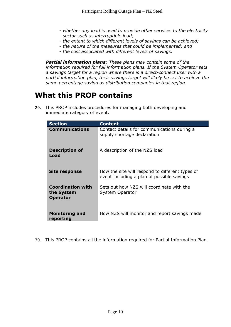- *whether any load is used to provide other services to the electricity sector such as interruptible load;*
- *the extent to which different levels of savings can be achieved;*
- *the nature of the measures that could be implemented; and*
- *the cost associated with different levels of savings.*

*Partial information plans: These plans may contain some of the information required for full information plans. If the System Operator sets a savings target for a region where there is a direct-connect user with a partial information plan, their savings target will likely be set to achieve the same percentage saving as distribution companies in that region.*

#### **What this PROP contains**

29. This PROP includes procedures for managing both developing and immediate category of event.

| <b>Section</b>                                            | <b>Content</b>                                                                                |
|-----------------------------------------------------------|-----------------------------------------------------------------------------------------------|
| <b>Communications</b>                                     | Contact details for communications during a<br>supply shortage declaration                    |
| <b>Description of</b><br>Load                             | A description of the NZS load                                                                 |
| <b>Site response</b>                                      | How the site will respond to different types of<br>event including a plan of possible savings |
| <b>Coordination with</b><br>the System<br><b>Operator</b> | Sets out how NZS will coordinate with the<br>System Operator                                  |
| <b>Monitoring and</b><br>reporting                        | How NZS will monitor and report savings made                                                  |

30. This PROP contains all the information required for Partial Information Plan.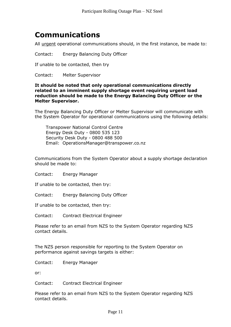### **Communications**

All urgent operational communications should, in the first instance, be made to:

Contact: Energy Balancing Duty Officer

If unable to be contacted, then try

Contact: Melter Supervisor

#### **It should be noted that only operational communications directly related to an imminent supply shortage event requiring urgent load reduction should be made to the Energy Balancing Duty Officer or the Melter Supervisor.**

The Energy Balancing Duty Officer or Melter Supervisor will communicate with the System Operator for operational communications using the following details:

Transpower National Control Centre Energy Desk Duty - 0800 535 123 Security Desk Duty - 0800 488 500 Email: OperationsManager@transpower.co.nz

Communications from the System Operator about a supply shortage declaration should be made to:

Contact: Energy Manager

If unable to be contacted, then try:

Contact: Energy Balancing Duty Officer

If unable to be contacted, then try:

Contact: Contract Electrical Engineer

Please refer to an email from NZS to the System Operator regarding NZS contact details.

The NZS person responsible for reporting to the System Operator on performance against savings targets is either:

Contact: Energy Manager

or:

Contact: Contract Electrical Engineer

Please refer to an email from NZS to the System Operator regarding NZS contact details.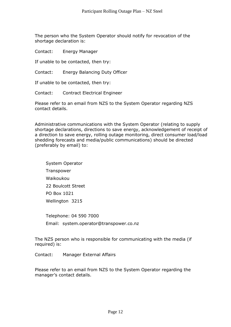The person who the System Operator should notify for revocation of the shortage declaration is:

Contact: Energy Manager

If unable to be contacted, then try:

Contact: Energy Balancing Duty Officer

If unable to be contacted, then try:

Contact: Contract Electrical Engineer

Please refer to an email from NZS to the System Operator regarding NZS contact details.

Administrative communications with the System Operator (relating to supply shortage declarations, directions to save energy, acknowledgement of receipt of a direction to save energy, rolling outage monitoring, direct consumer load/load shedding forecasts and media/public communications) should be directed (preferably by email) to:

System Operator **Transpower** Waikoukou 22 Boulcott Street PO Box 1021 Wellington 3215

Telephone: 04 590 7000 Email: system.operator@transpower.co.nz

The NZS person who is responsible for communicating with the media (if required) is:

Contact: Manager External Affairs

Please refer to an email from NZS to the System Operator regarding the manager's contact details.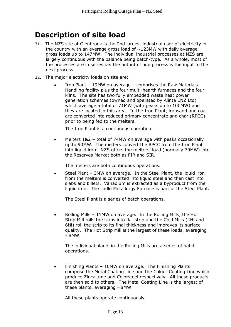#### **Description of site load**

- 31. The NZS site at Glenbrook is the 2nd largest industrial user of electricity in the country with an average gross load of  $\sim$ 123MW with daily average gross loads up to 147MW. The individual industrial processes at NZS are largely continuous with the balance being batch-type. As a whole, most of the processes are in series i.e. the output of one process is the input to the next process.
- 32. The major electricity loads on site are:
	- Iron Plant 19MW on average comprises the Raw Materials Handling facility plus the four multi-hearth furnaces and the four kilns. The site has two fully embedded waste heat power generation schemes (owned and operated by Alinta ENZ Ltd) which average a total of 71MW (with peaks up to 100MW) and they are located in this area. In the Iron Plant, ironsand and coal are converted into reduced primary concentrate and char (RPCC) prior to being fed to the melters.

The Iron Plant is a continuous operation.

• Melters 1&2 – total of 74MW on average with peaks occasionally up to 90MW. The melters convert the RPCC from the Iron Plant into liquid iron. NZS offers the melters' load (normally 70MW) into the Reserves Market both as FIR and SIR.

The melters are both continuous operations.

• Steel Plant – 3MW on average. In the Steel Plant, the liquid iron from the melters is converted into liquid steel and then cast into slabs and billets. Vanadium is extracted as a byproduct from the liquid iron. The Ladle Metallurgy Furnace is part of the Steel Plant.

The Steel Plant is a series of batch operations.

• Rolling Mills – 11MW on average. In the Rolling Mills, the Hot Strip Mill rolls the slabs into flat strip and the Cold Mills (4Hi and 6Hi) roll the strip to its final thickness and improves its surface quality. The Hot Strip Mill is the largest of these loads, averaging  $\sim$ 8MW.

The individual plants in the Rolling Mills are a series of batch operations.

• Finishing Plants – 10MW on average. The Finishing Plants comprise the Metal Coating Line and the Colour Coating Line which produce Zincalume and Colorsteel respectively. All these products are then sold to others. The Metal Coating Line is the largest of these plants, averaging  $\sim$ 8MW.

All these plants operate continuously.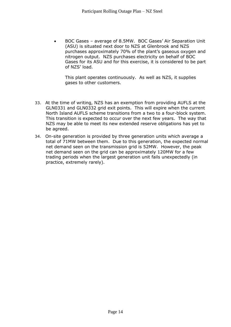• BOC Gases – average of 8.5MW. BOC Gases' Air Separation Unit (ASU) is situated next door to NZS at Glenbrook and NZS purchases approximately 70% of the plant's gaseous oxygen and nitrogen output. NZS purchases electricity on behalf of BOC Gases for its ASU and for this exercise, it is considered to be part of NZS' load.

This plant operates continuously. As well as NZS, it supplies gases to other customers.

- 33. At the time of writing, NZS has an exemption from providing AUFLS at the GLN0331 and GLN0332 grid exit points. This will expire when the current North Island AUFLS scheme transitions from a two to a four-block system. This transition is expected to occur over the next few years. The way that NZS may be able to meet its new extended reserve obligations has yet to be agreed.
- 34. On-site generation is provided by three generation units which average a total of 71MW between them. Due to this generation, the expected normal net demand seen on the transmission grid is 52MW. However, the peak net demand seen on the grid can be approximately 120MW for a few trading periods when the largest generation unit fails unexpectedly (in practice, extremely rarely).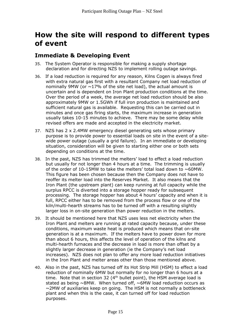#### **How the site will respond to different types of event**

#### **Immediate & Developing Event**

- 35. The System Operator is responsible for making a supply shortage declaration and for directing NZS to implement rolling outage savings.
- 36. If a load reduction is required for any reason, Kilns Cogen is always fired with extra natural gas first with a resultant Company net load reduction of nominally 9MW (or  $\sim$ 17% of the site net load), the actual amount is uncertain and is dependent on Iron Plant production conditions at the time. Over the period of a week, the average net load reduction should be also approximately 9MW or 1.5GWh if full iron production is maintained and sufficient natural gas is available. Requesting this can be carried out in minutes and once gas firing starts, the maximum increase in generation usually takes 10-15 minutes to achieve. There may be some delay while revised offers are made and accepted in the electricity market.
- 37. NZS has 2 x 2.4MW emergency diesel generating sets whose primary purpose is to provide power to essential loads on site in the event of a sitewide power outage (usually a grid failure). In an immediate or developing situation, consideration will be given to starting either one or both sets depending on conditions at the time.
- 38. In the past, NZS has trimmed the melters' load to effect a load reduction but usually for not longer than 4 hours at a time. The trimming is usually of the order of 10-15MW to take the melters' total load down to  $\sim$  60MW. This figure has been chosen because then the Company does not have to reoffer its melter load into the Reserves Market. It also means that the Iron Plant (the upstream plant) can keep running at full capacity while the surplus RPCC is diverted into a storage hopper ready for subsequent processing. The storage hopper has about 4 hours' capacity and when it is full, RPCC either has to be removed from the process flow or one of the kiln/multi-hearth streams has to be turned off with a resulting slightly larger loss in on-site generation than power reduction in the melters.
- 39. It should be mentioned here that NZS uses less net electricity when the Iron Plant and melters are running at rated capacity because, under these conditions, maximum waste heat is produced which means that on-site generation is at a maximum. If the melters have to power down for more than about 6 hours, this affects the level of operation of the kilns and multi-hearth furnaces and the decrease in load is more than offset by a slightly larger decrease in generation (ie the Company's net load increases). NZS does not plan to offer any more load reduction initiatives in the Iron Plant and melter areas other than those mentioned above.
- 40. Also in the past, NZS has turned off its Hot Strip Mill (HSM) to effect a load reduction of nominally 6MW but normally for no longer than 6 hours at a time. Note that in section 32 ( $4<sup>th</sup>$  bullet point), the HSM average load is stated as being  $\sim$ 8MW. When turned off,  $\sim$ 6MW load reduction occurs as  $\sim$ 2MW of auxiliaries keep on going. The HSM is not normally a bottleneck plant and when this is the case, it can turned off for load reduction purposes.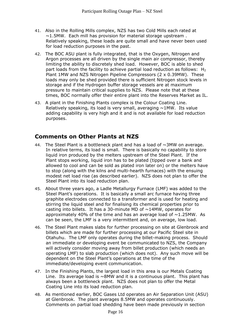- 41. Also in the Rolling Mills complex, NZS has two Cold Mills each rated at  $\sim$ 1.5MW. Each mill has provision for material storage upstream. Relatively speaking, these loads are quite small and have never been used for load reduction purposes in the past.
- 42. The BOC ASU plant is fully integrated, that is the Oxygen, Nitrogen and Argon processes are all driven by the single main air compressor, thereby limiting the ability to discretely shed load. However, BOC is able to shed part loads from the facility to achieve partial load reduction as follows:  $H_2$ Plant 1MW and NZS Nitrogen Pipeline Compressors (2 x 0.39MW). These loads may only be shed provided there is sufficient Nitrogen stock levels in storage and if the Hydrogen buffer storage vessels are at maximum pressure to maintain critical supplies to NZS. Please note that at these times, BOC normally offer their entire plant into the Reserves Market as IL.
- 43. A plant in the Finishing Plants complex is the Colour Coating Line. Relatively speaking, its load is very small, averaging  $\sim$ 1MW. Its value adding capability is very high and it and is not available for load reduction purposes.

#### **Comments on Other Plants at NZS**

- 44. The Steel Plant is a bottleneck plant and has a load of  $\sim 3$ MW on average. In relative terms, its load is small. There is basically no capability to store liquid iron produced by the melters upstream of the Steel Plant. If the Plant stops working, liquid iron has to be plated (tipped over a bank and allowed to cool and can be sold as plated iron later on) or the melters have to stop (along with the kilns and multi-hearth furnaces) with the ensuing modest net load rise (as described earlier). NZS does not plan to offer the Steel Plant into its load reduction plan.
- 45. About three years ago, a Ladle Metallurgy Furnace (LMF) was added to the Steel Plant's operations. It is basically a small arc furnace having three graphite electrodes connected to a transformer and is used for heating and stirring the liquid steel and for finalising its chemical properties prior to casting into billets. It has a 30-minute MD of  $\sim$ 14MW, operates for approximately 40% of the time and has an average load of  $\sim$ 1.25MW. As can be seen, the LMF is a very intermittent and, on average, low load.
- 46. The Steel Plant makes slabs for further processing on site at Glenbrook and billets which are made for further processing at our Pacific Steel site in Otahuhu. The LMF only operates during the billet-making process. Should an immediate or developing event be communicated to NZS, the Company will actively consider moving away from billet production (which needs an operating LMF) to slab production (which does not). Any such move will be dependent on the Steel Plant's operations at the time of the immediate/developing event communication.
- 47. In the Finishing Plants, the largest load in this area is our Metals Coating Line. Its average load is  $\sim 8$ MW and it is a continuous plant. This plant has always been a bottleneck plant. NZS does not plan to offer the Metal Coating Line into its load reduction plan.
- 48. As mentioned earlier, BOC Gases Ltd operates an Air Separation Unit (ASU) at Glenbrook. The plant averages 8.5MW and operates continuously. Comments on partial load shedding have been made previously in section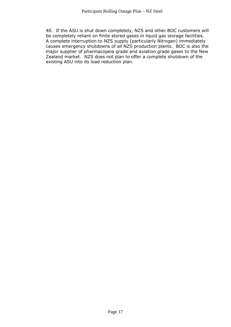40. If the ASU is shut down completely, NZS and other BOC customers will be completely reliant on finite stored gases in liquid gas storage facilities. A complete interruption to NZS supply (particularly Nitrogen) immediately causes emergency shutdowns of all NZS production plants. BOC is also the major supplier of pharmacopeia grade and aviation grade gases to the New Zealand market. NZS does not plan to offer a complete shutdown of the existing ASU into its load reduction plan.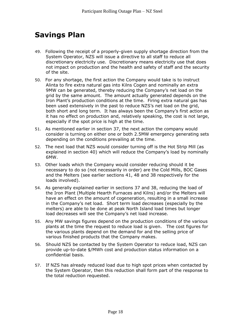### **Savings Plan**

- 49. Following the receipt of a properly-given supply shortage direction from the System Operator, NZS will issue a directive to all staff to reduce all discretionary electricity use. Discretionary means electricity use that does not impact on production and the health and safety of staff and the security of the site.
- 50. For any shortage, the first action the Company would take is to instruct Alinta to fire extra natural gas into Kilns Cogen and nominally an extra 9MW can be generated, thereby reducing the Company's net load on the grid by the same amount. The amount actually generated depends on the Iron Plant's production conditions at the time. Firing extra natural gas has been used extensively in the past to reduce NZS's net load on the grid, both short and long term. It has always been the Company's first action as it has no effect on production and, relatively speaking, the cost is not large, especially if the spot price is high at the time.
- 51. As mentioned earlier in section 37, the next action the company would consider is turning on either one or both 2.5MW emergency generating sets depending on the conditions prevailing at the time.
- 52. The next load that NZS would consider turning off is the Hot Strip Mill (as explained in section 40) which will reduce the Company's load by nominally 6MW.
- 53. Other loads which the Company would consider reducing should it be necessary to do so (not necessarily in order) are the Cold Mills, BOC Gases and the Melters (see earlier sections 41, 48 and 38 respectively for the loads involved).
- 54. As generally explained earlier in sections 37 and 38, reducing the load of the Iron Plant (Multiple Hearth Furnaces and Kilns) and/or the Melters will have an effect on the amount of cogeneration, resulting in a small increase in the Company's net load. Short term load decreases (especially by the melters) are able to be done at peak North Island load times but longer load decreases will see the Company's net load increase.
- 55. Any MW savings figures depend on the production conditions of the various plants at the time the request to reduce load is given. The cost figures for the various plants depend on the demand for and the selling price of various finished products that the Company makes.
- 56. Should NZS be contacted by the System Operator to reduce load, NZS can provide up-to-date \$/MWh cost and production status information on a confidential basis.
- 57. If NZS has already reduced load due to high spot prices when contacted by the System Operator, then this reduction shall form part of the response to the total reduction requested.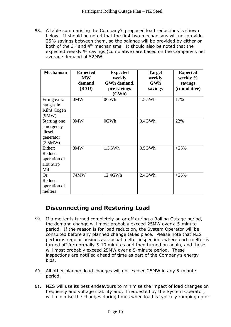58. A table summarising the Company's proposed load reductions is shown below. It should be noted that the first two mechanisms will not provide 25% savings between them, so the balance will be provided by either or both of the 3<sup>rd</sup> and 4<sup>th</sup> mechanisms. It should also be noted that the expected weekly % savings (cumulative) are based on the Company's net average demand of 52MW.

| <b>Mechanism</b>                                            | <b>Expected</b><br><b>MW</b><br>demand<br>(BAU) | <b>Expected</b><br>weekly<br>GWh demand,<br>pre-savings<br>(GWh) | <b>Target</b><br>weekly<br><b>GWh</b><br>savings | <b>Expected</b><br>weekly %<br>savings<br>(cumulative) |
|-------------------------------------------------------------|-------------------------------------------------|------------------------------------------------------------------|--------------------------------------------------|--------------------------------------------------------|
| Firing extra<br>nat gas in<br>Kilns Cogen<br>(9MW)          | 0MW                                             | 0GWh                                                             | $1.5$ GWh                                        | 17%                                                    |
| Starting one<br>emergency<br>diesel<br>generator<br>(2.5MW) | 0MW                                             | 0GWh                                                             | $0.4$ GWh                                        | 22%                                                    |
| Either:<br>Reduce<br>operation of<br>Hot Strip<br>Mill      | 8MW                                             | 1.3GWh                                                           | $0.5$ GWh                                        | $>25\%$                                                |
| Or:<br>Reduce<br>operation of<br>melters                    | 74MW                                            | 12.4GWh                                                          | $2.4$ GWh                                        | $>25\%$                                                |

#### **Disconnecting and Restoring Load**

- 59. If a melter is turned completely on or off during a Rolling Outage period, the demand change will most probably exceed 25MW over a 5-minute period. If the reason is for load reduction, the System Operator will be consulted before any planned change takes place. Please note that NZS performs regular business-as-usual melter inspections where each melter is turned off for normally 5-10 minutes and then turned on again, and these will most probably exceed 25MW over a 5-minute period. These inspections are notified ahead of time as part of the Company's energy bids.
- 60. All other planned load changes will not exceed 25MW in any 5-minute period.
- 61. NZS will use its best endeavours to minimise the impact of load changes on frequency and voltage stability and, if requested by the System Operator, will minimise the changes during times when load is typically ramping up or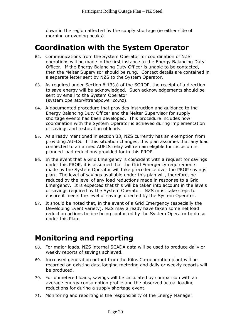down in the region affected by the supply shortage (ie either side of morning or evening peaks).

#### **Coordination with the System Operator**

- 62. Communications from the System Operator for coordination of NZS operations will be made in the first instance to the Energy Balancing Duty Officer. If the Energy Balancing Duty Officer is unable to be contacted, then the Melter Supervisor should be rung. Contact details are contained in a separate letter sent by NZS to the System Operator.
- 63. As required under Section 6.13(a) of the SOROP, the receipt of a direction to save energy will be acknowledged. Such acknowledgements should be sent by email to the System Operator (system.operator@transpower.co.nz).
- 64. A documented procedure that provides instruction and guidance to the Energy Balancing Duty Officer and the Melter Supervisor for supply shortage events has been developed. This procedure includes how coordination with the System Operator is achieved during implementation of savings and restoration of loads.
- 65. As already mentioned in section 33, NZS currently has an exemption from providing AUFLS. If this situation changes, this plan assumes that any load connected to an armed AUFLS relay will remain eligible for inclusion in planned load reductions provided for in this PROP.
- 66. In the event that a Grid Emergency is coincident with a request for savings under this PROP, it is assumed that the Grid Emergency requirements made by the System Operator will take precedence over the PROP savings plan. The level of savings available under this plan will, therefore, be reduced by the level of any load reductions made in response to a Grid Emergency. It is expected that this will be taken into account in the levels of savings required by the System Operator. NZS must take steps to ensure it meets the level of savings directed by the System Operator.
- 67. It should be noted that, in the event of a Grid Emergency (especially the Developing Event variety), NZS may already have taken some net load reduction actions before being contacted by the System Operator to do so under this Plan.

#### **Monitoring and reporting**

- 68. For major loads, NZS internal SCADA data will be used to produce daily or weekly reports of savings achieved.
- 69. Increased generation output from the Kilns Co-generation plant will be recorded on existing data logging metering and daily or weekly reports will be produced.
- 70. For unmetered loads, savings will be calculated by comparison with an average energy consumption profile and the observed actual loading reductions for during a supply shortage event.
- 71. Monitoring and reporting is the responsibility of the Energy Manager.